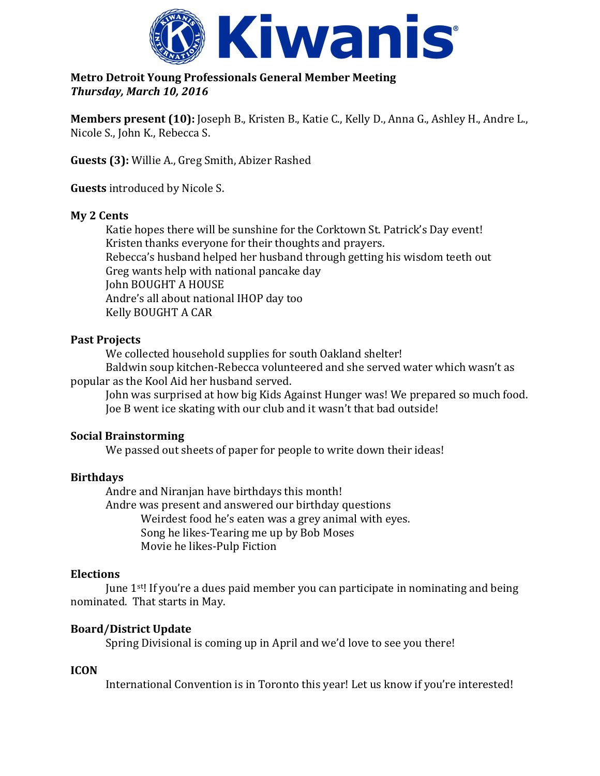

**Metro Detroit Young Professionals General Member Meeting**  *Thursday, March 10, 2016*

**Members present (10):** Joseph B., Kristen B., Katie C., Kelly D., Anna G., Ashley H., Andre L., Nicole S., John K., Rebecca S.

**Guests (3):** Willie A., Greg Smith, Abizer Rashed

**Guests** introduced by Nicole S.

### **My 2 Cents**

Katie hopes there will be sunshine for the Corktown St. Patrick's Day event! Kristen thanks everyone for their thoughts and prayers. Rebecca's husband helped her husband through getting his wisdom teeth out Greg wants help with national pancake day John BOUGHT A HOUSE Andre's all about national IHOP day too Kelly BOUGHT A CAR

## **Past Projects**

We collected household supplies for south Oakland shelter! Baldwin soup kitchen-Rebecca volunteered and she served water which wasn't as

popular as the Kool Aid her husband served.

John was surprised at how big Kids Against Hunger was! We prepared so much food. Joe B went ice skating with our club and it wasn't that bad outside!

#### **Social Brainstorming**

We passed out sheets of paper for people to write down their ideas!

## **Birthdays**

Andre and Niranjan have birthdays this month! Andre was present and answered our birthday questions Weirdest food he's eaten was a grey animal with eyes. Song he likes-Tearing me up by Bob Moses Movie he likes-Pulp Fiction

#### **Elections**

June 1st! If you're a dues paid member you can participate in nominating and being nominated. That starts in May.

## **Board/District Update**

Spring Divisional is coming up in April and we'd love to see you there!

## **ICON**

International Convention is in Toronto this year! Let us know if you're interested!